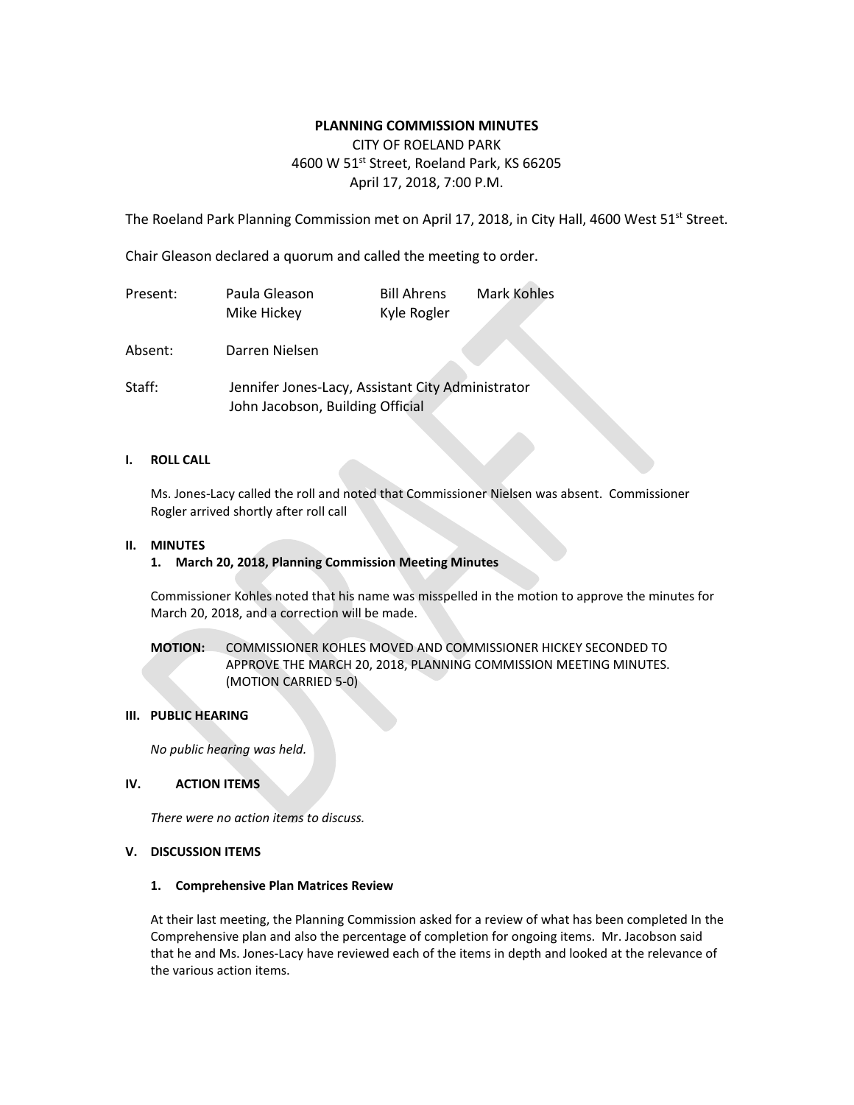## **PLANNING COMMISSION MINUTES**

# CITY OF ROELAND PARK 4600 W 51<sup>st</sup> Street, Roeland Park, KS 66205 April 17, 2018, 7:00 P.M.

The Roeland Park Planning Commission met on April 17, 2018, in City Hall, 4600 West 51<sup>st</sup> Street.

Chair Gleason declared a quorum and called the meeting to order.

| Present: | Paula Gleason<br>Mike Hickey                                                          | <b>Bill Ahrens</b><br>Kyle Rogler | <b>Mark Kohles</b> |
|----------|---------------------------------------------------------------------------------------|-----------------------------------|--------------------|
| Absent:  | Darren Nielsen                                                                        |                                   |                    |
| Staff:   | Jennifer Jones-Lacy, Assistant City Administrator<br>John Jacobson, Building Official |                                   |                    |

### **I. ROLL CALL**

Ms. Jones-Lacy called the roll and noted that Commissioner Nielsen was absent. Commissioner Rogler arrived shortly after roll call

### **II. MINUTES**

## **1. March 20, 2018, Planning Commission Meeting Minutes**

Commissioner Kohles noted that his name was misspelled in the motion to approve the minutes for March 20, 2018, and a correction will be made.

## **MOTION:** COMMISSIONER KOHLES MOVED AND COMMISSIONER HICKEY SECONDED TO APPROVE THE MARCH 20, 2018, PLANNING COMMISSION MEETING MINUTES. (MOTION CARRIED 5-0)

#### **III. PUBLIC HEARING**

*No public hearing was held.* 

## **IV. ACTION ITEMS**

*There were no action items to discuss.*

### **V. DISCUSSION ITEMS**

#### **1. Comprehensive Plan Matrices Review**

At their last meeting, the Planning Commission asked for a review of what has been completed In the Comprehensive plan and also the percentage of completion for ongoing items. Mr. Jacobson said that he and Ms. Jones-Lacy have reviewed each of the items in depth and looked at the relevance of the various action items.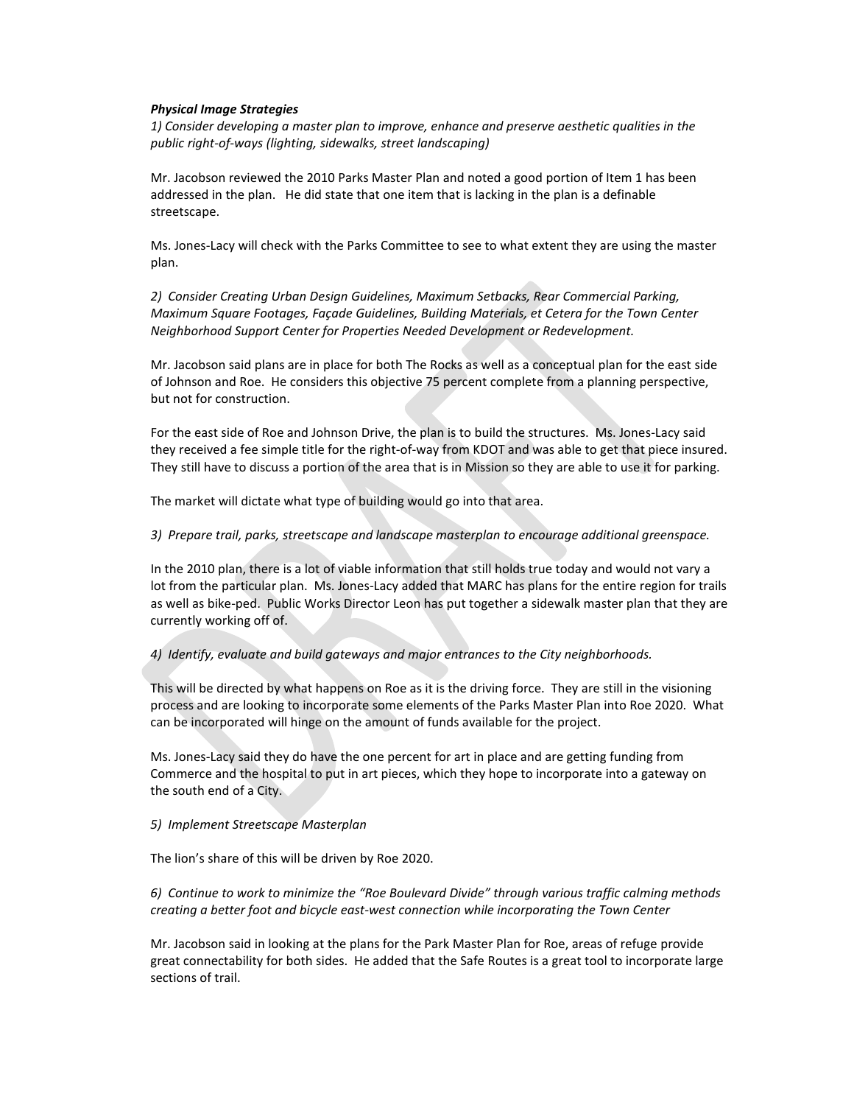#### *Physical Image Strategies*

*1) Consider developing a master plan to improve, enhance and preserve aesthetic qualities in the public right-of-ways (lighting, sidewalks, street landscaping)*

Mr. Jacobson reviewed the 2010 Parks Master Plan and noted a good portion of Item 1 has been addressed in the plan. He did state that one item that is lacking in the plan is a definable streetscape.

Ms. Jones-Lacy will check with the Parks Committee to see to what extent they are using the master plan.

*2) Consider Creating Urban Design Guidelines, Maximum Setbacks, Rear Commercial Parking, Maximum Square Footages, Façade Guidelines, Building Materials, et Cetera for the Town Center Neighborhood Support Center for Properties Needed Development or Redevelopment.* 

Mr. Jacobson said plans are in place for both The Rocks as well as a conceptual plan for the east side of Johnson and Roe. He considers this objective 75 percent complete from a planning perspective, but not for construction.

For the east side of Roe and Johnson Drive, the plan is to build the structures. Ms. Jones-Lacy said they received a fee simple title for the right-of-way from KDOT and was able to get that piece insured. They still have to discuss a portion of the area that is in Mission so they are able to use it for parking.

The market will dictate what type of building would go into that area.

### *3) Prepare trail, parks, streetscape and landscape masterplan to encourage additional greenspace.*

In the 2010 plan, there is a lot of viable information that still holds true today and would not vary a lot from the particular plan. Ms. Jones-Lacy added that MARC has plans for the entire region for trails as well as bike-ped. Public Works Director Leon has put together a sidewalk master plan that they are currently working off of.

*4) Identify, evaluate and build gateways and major entrances to the City neighborhoods.* 

This will be directed by what happens on Roe as it is the driving force. They are still in the visioning process and are looking to incorporate some elements of the Parks Master Plan into Roe 2020. What can be incorporated will hinge on the amount of funds available for the project.

Ms. Jones-Lacy said they do have the one percent for art in place and are getting funding from Commerce and the hospital to put in art pieces, which they hope to incorporate into a gateway on the south end of a City.

*5) Implement Streetscape Masterplan*

The lion's share of this will be driven by Roe 2020.

*6) Continue to work to minimize the "Roe Boulevard Divide" through various traffic calming methods creating a better foot and bicycle east-west connection while incorporating the Town Center*

Mr. Jacobson said in looking at the plans for the Park Master Plan for Roe, areas of refuge provide great connectability for both sides. He added that the Safe Routes is a great tool to incorporate large sections of trail.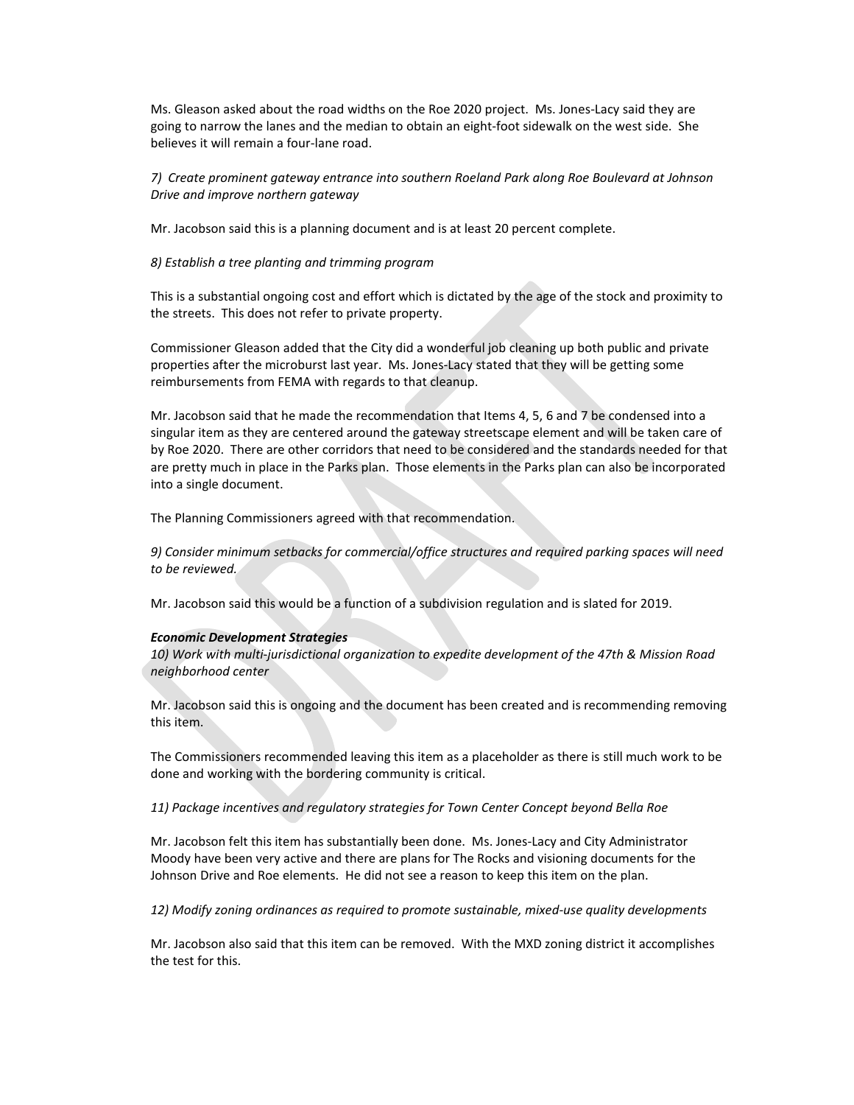Ms. Gleason asked about the road widths on the Roe 2020 project. Ms. Jones-Lacy said they are going to narrow the lanes and the median to obtain an eight-foot sidewalk on the west side. She believes it will remain a four-lane road.

*7) Create prominent gateway entrance into southern Roeland Park along Roe Boulevard at Johnson Drive and improve northern gateway*

Mr. Jacobson said this is a planning document and is at least 20 percent complete.

*8) Establish a tree planting and trimming program*

This is a substantial ongoing cost and effort which is dictated by the age of the stock and proximity to the streets. This does not refer to private property.

Commissioner Gleason added that the City did a wonderful job cleaning up both public and private properties after the microburst last year. Ms. Jones-Lacy stated that they will be getting some reimbursements from FEMA with regards to that cleanup.

Mr. Jacobson said that he made the recommendation that Items 4, 5, 6 and 7 be condensed into a singular item as they are centered around the gateway streetscape element and will be taken care of by Roe 2020. There are other corridors that need to be considered and the standards needed for that are pretty much in place in the Parks plan. Those elements in the Parks plan can also be incorporated into a single document.

The Planning Commissioners agreed with that recommendation.

*9) Consider minimum setbacks for commercial/office structures and required parking spaces will need to be reviewed.*

Mr. Jacobson said this would be a function of a subdivision regulation and is slated for 2019.

#### *Economic Development Strategies*

*10) Work with multi-jurisdictional organization to expedite development of the 47th & Mission Road neighborhood center*

Mr. Jacobson said this is ongoing and the document has been created and is recommending removing this item.

The Commissioners recommended leaving this item as a placeholder as there is still much work to be done and working with the bordering community is critical.

*11) Package incentives and regulatory strategies for Town Center Concept beyond Bella Roe*

Mr. Jacobson felt this item has substantially been done. Ms. Jones-Lacy and City Administrator Moody have been very active and there are plans for The Rocks and visioning documents for the Johnson Drive and Roe elements. He did not see a reason to keep this item on the plan.

*12) Modify zoning ordinances as required to promote sustainable, mixed-use quality developments*

Mr. Jacobson also said that this item can be removed. With the MXD zoning district it accomplishes the test for this.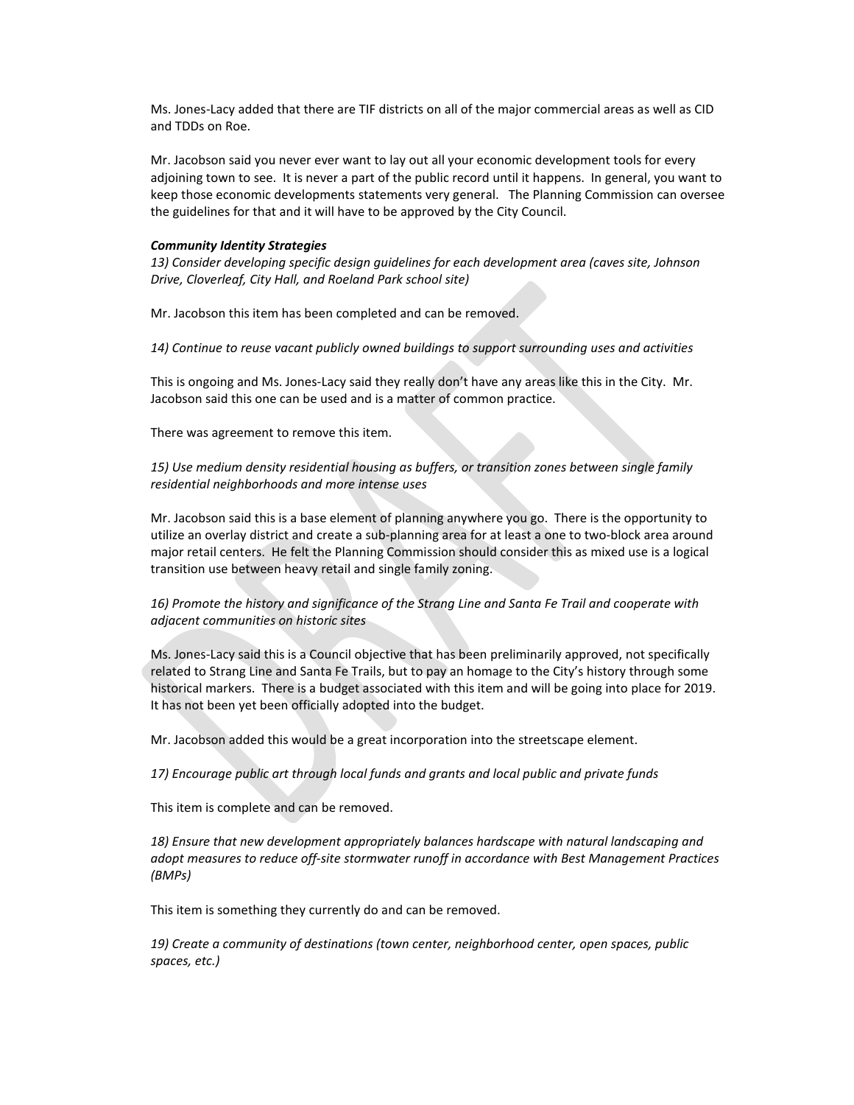Ms. Jones-Lacy added that there are TIF districts on all of the major commercial areas as well as CID and TDDs on Roe.

Mr. Jacobson said you never ever want to lay out all your economic development tools for every adjoining town to see. It is never a part of the public record until it happens. In general, you want to keep those economic developments statements very general. The Planning Commission can oversee the guidelines for that and it will have to be approved by the City Council.

#### *Community Identity Strategies*

*13) Consider developing specific design guidelines for each development area (caves site, Johnson Drive, Cloverleaf, City Hall, and Roeland Park school site)*

Mr. Jacobson this item has been completed and can be removed.

*14) Continue to reuse vacant publicly owned buildings to support surrounding uses and activities*

This is ongoing and Ms. Jones-Lacy said they really don't have any areas like this in the City. Mr. Jacobson said this one can be used and is a matter of common practice.

There was agreement to remove this item.

*15) Use medium density residential housing as buffers, or transition zones between single family residential neighborhoods and more intense uses*

Mr. Jacobson said this is a base element of planning anywhere you go. There is the opportunity to utilize an overlay district and create a sub-planning area for at least a one to two-block area around major retail centers. He felt the Planning Commission should consider this as mixed use is a logical transition use between heavy retail and single family zoning.

*16) Promote the history and significance of the Strang Line and Santa Fe Trail and cooperate with adjacent communities on historic sites*

Ms. Jones-Lacy said this is a Council objective that has been preliminarily approved, not specifically related to Strang Line and Santa Fe Trails, but to pay an homage to the City's history through some historical markers. There is a budget associated with this item and will be going into place for 2019. It has not been yet been officially adopted into the budget.

Mr. Jacobson added this would be a great incorporation into the streetscape element.

*17) Encourage public art through local funds and grants and local public and private funds*

This item is complete and can be removed.

18) Ensure that new development appropriately balances hardscape with natural landscaping and *adopt measures to reduce off-site stormwater runoff in accordance with Best Management Practices (BMPs)*

This item is something they currently do and can be removed.

*19) Create a community of destinations (town center, neighborhood center, open spaces, public spaces, etc.)*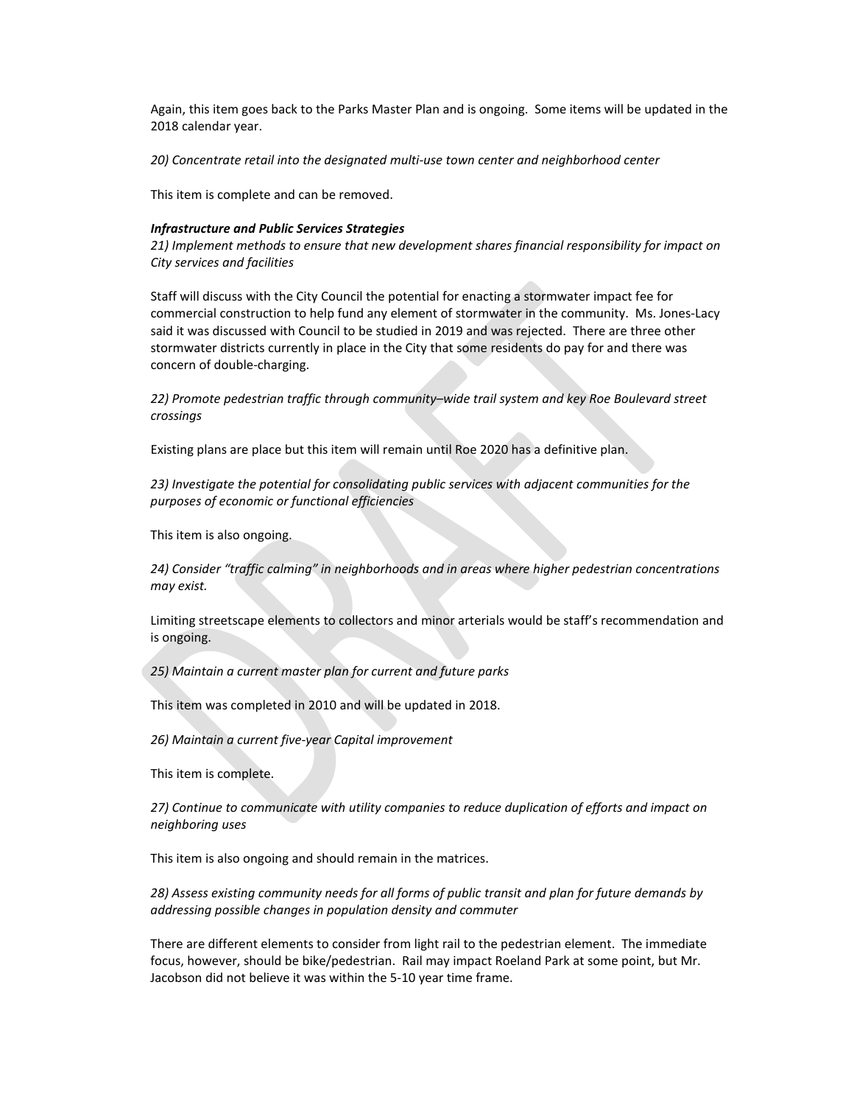Again, this item goes back to the Parks Master Plan and is ongoing. Some items will be updated in the 2018 calendar year.

*20) Concentrate retail into the designated multi-use town center and neighborhood center*

This item is complete and can be removed.

#### *Infrastructure and Public Services Strategies*

*21) Implement methods to ensure that new development shares financial responsibility for impact on City services and facilities*

Staff will discuss with the City Council the potential for enacting a stormwater impact fee for commercial construction to help fund any element of stormwater in the community. Ms. Jones-Lacy said it was discussed with Council to be studied in 2019 and was rejected. There are three other stormwater districts currently in place in the City that some residents do pay for and there was concern of double-charging.

*22) Promote pedestrian traffic through community–wide trail system and key Roe Boulevard street crossings*

Existing plans are place but this item will remain until Roe 2020 has a definitive plan.

*23) Investigate the potential for consolidating public services with adjacent communities for the purposes of economic or functional efficiencies*

This item is also ongoing.

*24) Consider "traffic calming" in neighborhoods and in areas where higher pedestrian concentrations may exist.*

Limiting streetscape elements to collectors and minor arterials would be staff's recommendation and is ongoing.

*25) Maintain a current master plan for current and future parks*

This item was completed in 2010 and will be updated in 2018.

*26) Maintain a current five-year Capital improvement*

This item is complete.

*27) Continue to communicate with utility companies to reduce duplication of efforts and impact on neighboring uses*

This item is also ongoing and should remain in the matrices.

*28) Assess existing community needs for all forms of public transit and plan for future demands by addressing possible changes in population density and commuter*

There are different elements to consider from light rail to the pedestrian element. The immediate focus, however, should be bike/pedestrian. Rail may impact Roeland Park at some point, but Mr. Jacobson did not believe it was within the 5-10 year time frame.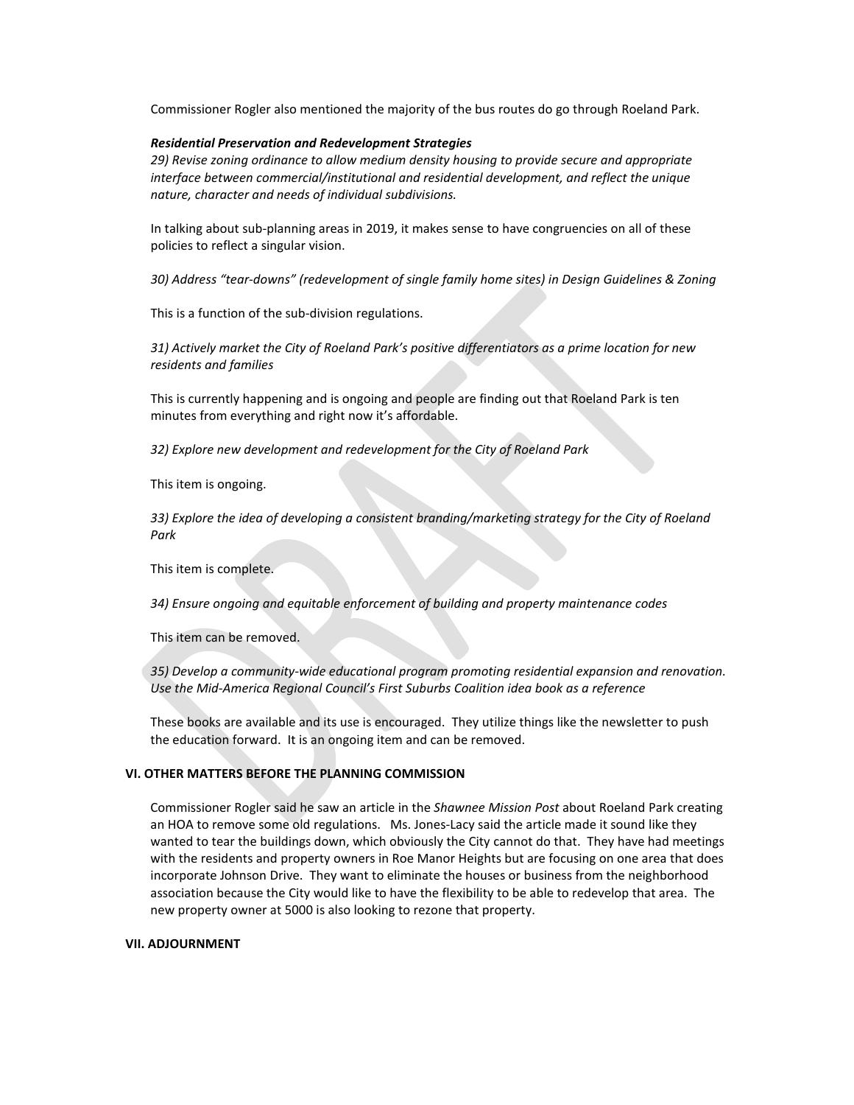Commissioner Rogler also mentioned the majority of the bus routes do go through Roeland Park.

#### *Residential Preservation and Redevelopment Strategies*

*29) Revise zoning ordinance to allow medium density housing to provide secure and appropriate interface between commercial/institutional and residential development, and reflect the unique nature, character and needs of individual subdivisions.*

In talking about sub-planning areas in 2019, it makes sense to have congruencies on all of these policies to reflect a singular vision.

*30) Address "tear-downs" (redevelopment of single family home sites) in Design Guidelines & Zoning*

This is a function of the sub-division regulations.

*31) Actively market the City of Roeland Park's positive differentiators as a prime location for new residents and families*

This is currently happening and is ongoing and people are finding out that Roeland Park is ten minutes from everything and right now it's affordable.

*32) Explore new development and redevelopment for the City of Roeland Park*

This item is ongoing.

*33) Explore the idea of developing a consistent branding/marketing strategy for the City of Roeland Park*

This item is complete.

*34) Ensure ongoing and equitable enforcement of building and property maintenance codes*

This item can be removed.

*35) Develop a community-wide educational program promoting residential expansion and renovation. Use the Mid-America Regional Council's First Suburbs Coalition idea book as a reference*

These books are available and its use is encouraged. They utilize things like the newsletter to push the education forward. It is an ongoing item and can be removed.

#### **VI. OTHER MATTERS BEFORE THE PLANNING COMMISSION**

Commissioner Rogler said he saw an article in the *Shawnee Mission Post* about Roeland Park creating an HOA to remove some old regulations. Ms. Jones-Lacy said the article made it sound like they wanted to tear the buildings down, which obviously the City cannot do that. They have had meetings with the residents and property owners in Roe Manor Heights but are focusing on one area that does incorporate Johnson Drive. They want to eliminate the houses or business from the neighborhood association because the City would like to have the flexibility to be able to redevelop that area. The new property owner at 5000 is also looking to rezone that property.

### **VII. ADJOURNMENT**